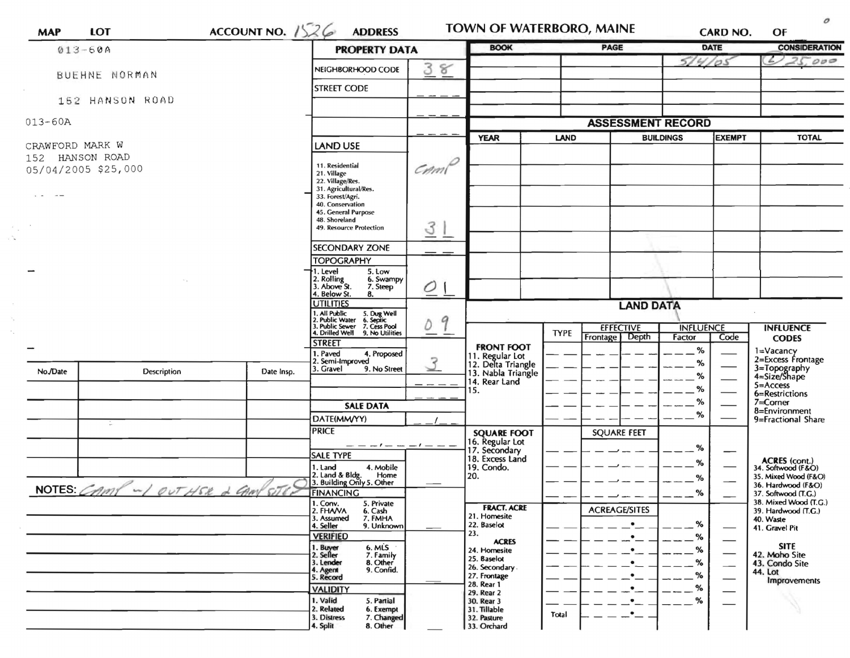|                 | $013 - 60A$                            |            | <b>PROPERTY DATA</b>                                                                                                      |                                        | <b>BOOK</b>                                            |             | <b>PAGE</b>              |                  | <b>DATE</b>   | <b>CONSIDERATION</b>                         |
|-----------------|----------------------------------------|------------|---------------------------------------------------------------------------------------------------------------------------|----------------------------------------|--------------------------------------------------------|-------------|--------------------------|------------------|---------------|----------------------------------------------|
|                 |                                        |            | NEIGHBORHOOD CODE                                                                                                         | 38                                     |                                                        |             |                          | 51               | 4/05          | 25.000                                       |
|                 | BUEHNE NORMAN                          |            | <b>STREET CODE</b>                                                                                                        |                                        |                                                        |             |                          |                  |               |                                              |
|                 | 152 HANSON ROAD                        |            |                                                                                                                           |                                        |                                                        |             |                          |                  |               |                                              |
| $013 - 60A$     |                                        |            |                                                                                                                           |                                        |                                                        |             | <b>ASSESSMENT RECORD</b> |                  |               |                                              |
|                 |                                        |            |                                                                                                                           |                                        | <b>YEAR</b>                                            | <b>LAND</b> |                          | <b>BUILDINGS</b> | <b>EXEMPT</b> | <b>TOTAL</b>                                 |
| CRAWFORD MARK W |                                        |            | <b>LAND USE</b>                                                                                                           |                                        |                                                        |             |                          |                  |               |                                              |
|                 | 152 HANSON ROAD<br>05/04/2005 \$25,000 |            | 11. Residential                                                                                                           | $C$ <i>m</i> <sup><math>P</math></sup> |                                                        |             |                          |                  |               |                                              |
|                 |                                        |            | 21. Village<br>22. Village/Res.                                                                                           |                                        |                                                        |             |                          |                  |               |                                              |
|                 |                                        |            | 31. Agricultural/Res.<br>33. Forest/Agri.                                                                                 |                                        |                                                        |             |                          |                  |               |                                              |
|                 |                                        |            | 40. Conservation                                                                                                          |                                        |                                                        |             |                          |                  |               |                                              |
|                 |                                        |            | 45. General Purpose<br>48. Shoreland                                                                                      |                                        |                                                        |             |                          |                  |               |                                              |
|                 |                                        |            | 49. Resource Protection                                                                                                   | 31                                     |                                                        |             |                          |                  |               |                                              |
|                 |                                        |            | <b>SECONDARY ZONE</b>                                                                                                     |                                        |                                                        |             |                          |                  |               |                                              |
|                 |                                        |            | <b>TOPOGRAPHY</b>                                                                                                         |                                        |                                                        |             |                          |                  |               |                                              |
|                 |                                        |            | 1. Level<br>5. Low<br>6. Swampy                                                                                           |                                        |                                                        |             |                          |                  |               |                                              |
|                 |                                        |            | 2. Rolling<br>3. Above St.<br>7. Steep<br>4. Below St.<br>8.                                                              | 0                                      |                                                        |             |                          |                  |               |                                              |
|                 |                                        |            | <b>UTILITIES</b>                                                                                                          |                                        |                                                        |             | <b>LAND DATA</b>         |                  |               |                                              |
|                 |                                        |            | 1. All Public 5. Dug Well<br>2. Public Water 6. Septic<br>3. Public Sewer 7. Cess Pool<br>4. Drilled Well 9. No Utilities |                                        |                                                        |             |                          |                  |               |                                              |
|                 |                                        |            |                                                                                                                           | 9<br>Ď                                 |                                                        | <b>TYPE</b> | <b>EFFECTIVE</b>         | <b>INFLUENCE</b> |               | <b>INFLUENCE</b>                             |
|                 |                                        |            | <b>STREET</b>                                                                                                             |                                        | <b>FRONT FOOT</b>                                      |             | Frontage   Depth         | Factor           | Code          | <b>CODES</b>                                 |
|                 |                                        |            | 4. Proposed<br>1. Paved<br>2. Semi-Improved                                                                               | 3                                      | 11. Regular Lot                                        |             |                          | %<br>%           |               | 1=Vacancy<br>2=Excess Frontage               |
| No./Date        | Description                            | Date Insp. | 3. Gravel<br>9. No Street                                                                                                 |                                        | 12. Delta Triangle<br>13. Nabla Triangle               |             |                          | ℅                |               | 3=Topography<br>4=Size/Shape                 |
|                 |                                        |            |                                                                                                                           | $\sim$ $\sim$                          | 14. Rear Land<br>15.                                   |             |                          | ℅                |               | $5 =$ Access                                 |
|                 |                                        |            |                                                                                                                           |                                        |                                                        |             |                          | ℅                |               | 6=Restrictions<br>7=Corner                   |
|                 |                                        |            | <b>SALE DATA</b><br>DATE(MM/YY)                                                                                           |                                        |                                                        |             |                          | %                |               | 8=Environment                                |
|                 |                                        |            | <b>PRICE</b>                                                                                                              |                                        |                                                        |             | <b>SQUARE FEET</b>       |                  |               | 9=Fractional Share                           |
|                 |                                        |            |                                                                                                                           |                                        | <b>SQUARE FOOT</b><br>16. Regular Lot<br>17. Secondary |             |                          |                  |               |                                              |
|                 |                                        |            | <b>SALE TYPE</b>                                                                                                          |                                        | 18. Excess Land                                        |             |                          | %                |               |                                              |
|                 |                                        |            | 4. Mobile<br>1. Land                                                                                                      |                                        | 19. Condo.                                             |             |                          | %                |               | ACRES (cont.)<br>34. Softwood (F&O)          |
|                 |                                        |            | 2. Land & Bldg. Home<br>3. Building Only 5. Other<br>Home                                                                 |                                        | 20.                                                    |             |                          | %                |               | 35. Mixed Wood (F&O)<br>36. Hardwood (F&O)   |
|                 | NOTES: CAMP ~ 1 OUT HER 2 CAMP SITE?   |            | FINANCING                                                                                                                 |                                        |                                                        |             |                          | ℅                |               | 37. Softwood (T.G.)                          |
|                 |                                        |            | 1. Conv.<br>5. Private<br>2. FHAVA<br>6. Cash                                                                             |                                        | <b>FRACT. ACRE</b>                                     |             | <b>ACREAGE/SITES</b>     |                  |               | 38. Mixed Wood (T.G.)<br>39. Hardwood (T.G.) |
|                 |                                        |            | 3. Assumed<br>7. FMHA<br>9. Unknown<br>4. Seller                                                                          |                                        | 21. Homesite<br>22. Baselot                            |             | $\bullet$                | %                |               | 40. Waste<br>41. Gravel Pit                  |
|                 |                                        |            | <b>VERIFIED</b>                                                                                                           |                                        | 23.<br><b>ACRES</b>                                    |             | $\bullet$                | %                |               |                                              |
|                 |                                        |            | 6. MLS<br>1. Buyer<br>7. Family<br>2. Seller                                                                              |                                        | 24. Homesite                                           |             | $\bullet$                | %                |               | <b>SITE</b><br>42. Moho Site                 |
|                 |                                        |            | 8. Other<br>9. Confid.<br>3. Lender                                                                                       |                                        | 25. Baselot<br>26. Secondary.                          |             |                          | %                | --            | 43. Condo Site                               |
|                 |                                        |            | 4. Agent<br>5. Record                                                                                                     |                                        | 27. Frontage<br>28. Rear 1                             |             |                          | %                |               | 44. Lot<br>Improvements                      |
|                 |                                        |            | <b>VALIDITY</b>                                                                                                           |                                        | 29. Rear 2                                             |             |                          | %                |               |                                              |
|                 |                                        |            | 1. Valid<br>5. Partial<br>2. Related<br>6. Exempt                                                                         |                                        | 30. Rear 3<br>31. Tillable                             |             |                          | %                |               |                                              |
|                 |                                        |            | 3. Distress<br>7. Changed<br>8. Other                                                                                     |                                        | 32. Pasture<br>33. Orchard                             | Total       |                          |                  |               |                                              |